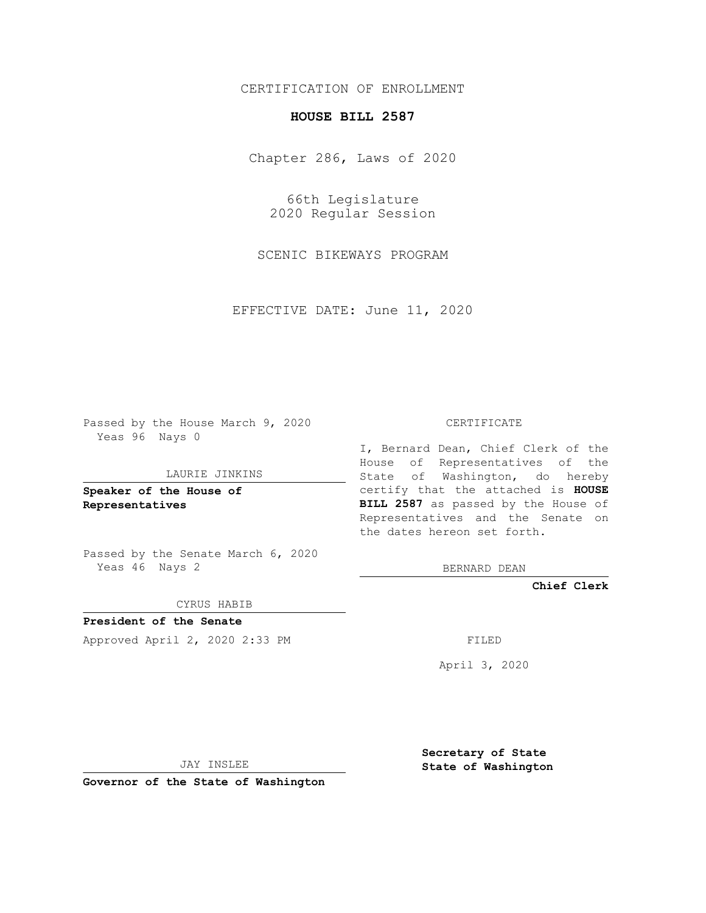# CERTIFICATION OF ENROLLMENT

# **HOUSE BILL 2587**

Chapter 286, Laws of 2020

66th Legislature 2020 Regular Session

SCENIC BIKEWAYS PROGRAM

EFFECTIVE DATE: June 11, 2020

Passed by the House March 9, 2020 Yeas 96 Nays 0

### LAURIE JINKINS

**Speaker of the House of Representatives**

Passed by the Senate March 6, 2020 Yeas 46 Nays 2

#### CYRUS HABIB

**President of the Senate** Approved April 2, 2020 2:33 PM

#### CERTIFICATE

I, Bernard Dean, Chief Clerk of the House of Representatives of the State of Washington, do hereby certify that the attached is **HOUSE BILL 2587** as passed by the House of Representatives and the Senate on the dates hereon set forth.

BERNARD DEAN

**Chief Clerk**

April 3, 2020

JAY INSLEE

**Governor of the State of Washington**

**Secretary of State State of Washington**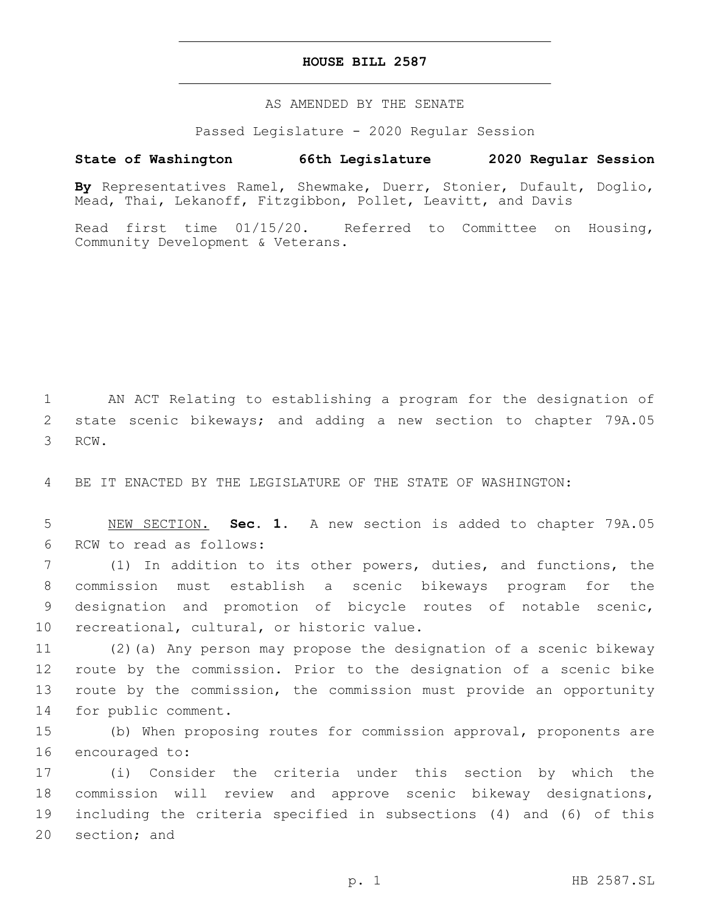### **HOUSE BILL 2587**

AS AMENDED BY THE SENATE

Passed Legislature - 2020 Regular Session

## **State of Washington 66th Legislature 2020 Regular Session**

**By** Representatives Ramel, Shewmake, Duerr, Stonier, Dufault, Doglio, Mead, Thai, Lekanoff, Fitzgibbon, Pollet, Leavitt, and Davis

Read first time 01/15/20. Referred to Committee on Housing, Community Development & Veterans.

1 AN ACT Relating to establishing a program for the designation of 2 state scenic bikeways; and adding a new section to chapter 79A.05 3 RCW.

4 BE IT ENACTED BY THE LEGISLATURE OF THE STATE OF WASHINGTON:

5 NEW SECTION. **Sec. 1.** A new section is added to chapter 79A.05 6 RCW to read as follows:

 (1) In addition to its other powers, duties, and functions, the commission must establish a scenic bikeways program for the designation and promotion of bicycle routes of notable scenic, 10 recreational, cultural, or historic value.

 (2)(a) Any person may propose the designation of a scenic bikeway route by the commission. Prior to the designation of a scenic bike route by the commission, the commission must provide an opportunity 14 for public comment.

15 (b) When proposing routes for commission approval, proponents are 16 encouraged to:

 (i) Consider the criteria under this section by which the commission will review and approve scenic bikeway designations, including the criteria specified in subsections (4) and (6) of this 20 section; and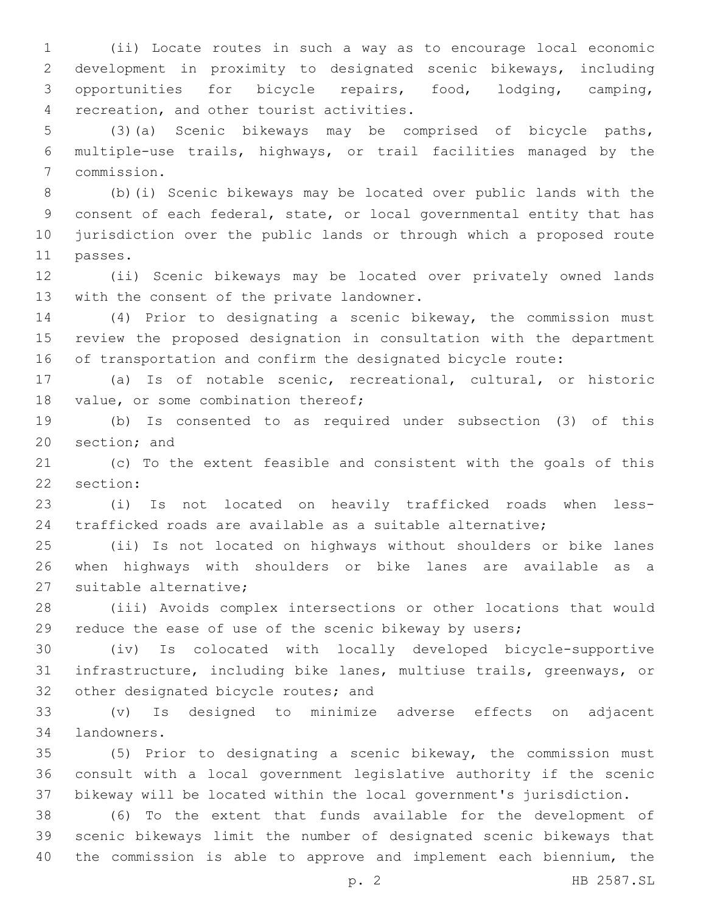(ii) Locate routes in such a way as to encourage local economic development in proximity to designated scenic bikeways, including opportunities for bicycle repairs, food, lodging, camping, 4 recreation, and other tourist activities.

 (3)(a) Scenic bikeways may be comprised of bicycle paths, multiple-use trails, highways, or trail facilities managed by the commission.7

 (b)(i) Scenic bikeways may be located over public lands with the consent of each federal, state, or local governmental entity that has jurisdiction over the public lands or through which a proposed route 11 passes.

 (ii) Scenic bikeways may be located over privately owned lands 13 with the consent of the private landowner.

 (4) Prior to designating a scenic bikeway, the commission must review the proposed designation in consultation with the department of transportation and confirm the designated bicycle route:

 (a) Is of notable scenic, recreational, cultural, or historic 18 value, or some combination thereof;

 (b) Is consented to as required under subsection (3) of this 20 section; and

 (c) To the extent feasible and consistent with the goals of this 22 section:

 (i) Is not located on heavily trafficked roads when less-trafficked roads are available as a suitable alternative;

 (ii) Is not located on highways without shoulders or bike lanes when highways with shoulders or bike lanes are available as a 27 suitable alternative;

 (iii) Avoids complex intersections or other locations that would reduce the ease of use of the scenic bikeway by users;

 (iv) Is colocated with locally developed bicycle-supportive infrastructure, including bike lanes, multiuse trails, greenways, or 32 other designated bicycle routes; and

 (v) Is designed to minimize adverse effects on adjacent 34 landowners.

 (5) Prior to designating a scenic bikeway, the commission must consult with a local government legislative authority if the scenic bikeway will be located within the local government's jurisdiction.

 (6) To the extent that funds available for the development of scenic bikeways limit the number of designated scenic bikeways that the commission is able to approve and implement each biennium, the

p. 2 HB 2587.SL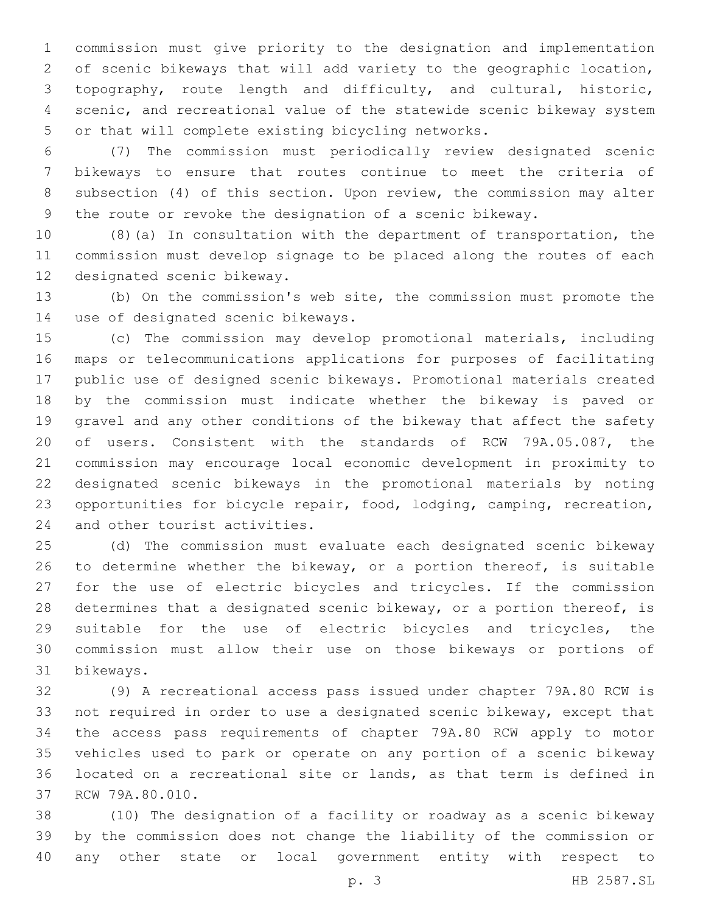commission must give priority to the designation and implementation of scenic bikeways that will add variety to the geographic location, topography, route length and difficulty, and cultural, historic, scenic, and recreational value of the statewide scenic bikeway system 5 or that will complete existing bicycling networks.

 (7) The commission must periodically review designated scenic bikeways to ensure that routes continue to meet the criteria of subsection (4) of this section. Upon review, the commission may alter the route or revoke the designation of a scenic bikeway.

 (8)(a) In consultation with the department of transportation, the commission must develop signage to be placed along the routes of each 12 designated scenic bikeway.

 (b) On the commission's web site, the commission must promote the 14 use of designated scenic bikeways.

 (c) The commission may develop promotional materials, including maps or telecommunications applications for purposes of facilitating public use of designed scenic bikeways. Promotional materials created by the commission must indicate whether the bikeway is paved or gravel and any other conditions of the bikeway that affect the safety of users. Consistent with the standards of RCW 79A.05.087, the commission may encourage local economic development in proximity to designated scenic bikeways in the promotional materials by noting opportunities for bicycle repair, food, lodging, camping, recreation, 24 and other tourist activities.

 (d) The commission must evaluate each designated scenic bikeway to determine whether the bikeway, or a portion thereof, is suitable for the use of electric bicycles and tricycles. If the commission determines that a designated scenic bikeway, or a portion thereof, is suitable for the use of electric bicycles and tricycles, the commission must allow their use on those bikeways or portions of bikeways.31

 (9) A recreational access pass issued under chapter 79A.80 RCW is not required in order to use a designated scenic bikeway, except that the access pass requirements of chapter 79A.80 RCW apply to motor vehicles used to park or operate on any portion of a scenic bikeway located on a recreational site or lands, as that term is defined in 37 RCW 79A.80.010.

 (10) The designation of a facility or roadway as a scenic bikeway by the commission does not change the liability of the commission or any other state or local government entity with respect to